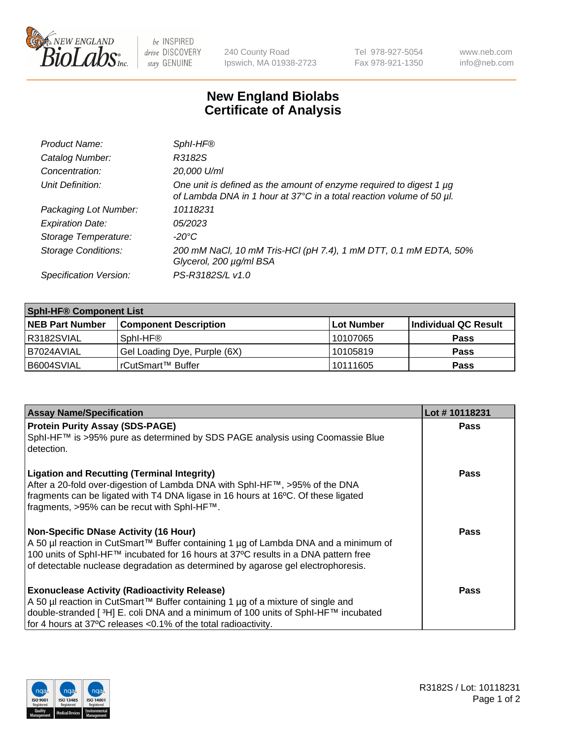

 $be$  INSPIRED drive DISCOVERY stay GENUINE

240 County Road Ipswich, MA 01938-2723 Tel 978-927-5054 Fax 978-921-1350 www.neb.com info@neb.com

## **New England Biolabs Certificate of Analysis**

| Product Name:              | Sphl-HF®                                                                                                                                    |
|----------------------------|---------------------------------------------------------------------------------------------------------------------------------------------|
| Catalog Number:            | R3182S                                                                                                                                      |
| Concentration:             | 20,000 U/ml                                                                                                                                 |
| Unit Definition:           | One unit is defined as the amount of enzyme required to digest 1 µg<br>of Lambda DNA in 1 hour at 37°C in a total reaction volume of 50 µl. |
| Packaging Lot Number:      | 10118231                                                                                                                                    |
| <b>Expiration Date:</b>    | 05/2023                                                                                                                                     |
| Storage Temperature:       | -20°C                                                                                                                                       |
| <b>Storage Conditions:</b> | 200 mM NaCl, 10 mM Tris-HCl (pH 7.4), 1 mM DTT, 0.1 mM EDTA, 50%<br>Glycerol, 200 µg/ml BSA                                                 |
| Specification Version:     | PS-R3182S/L v1.0                                                                                                                            |

| <b>Sphl-HF® Component List</b> |                              |             |                      |  |  |
|--------------------------------|------------------------------|-------------|----------------------|--|--|
| <b>NEB Part Number</b>         | <b>Component Description</b> | ∣Lot Number | Individual QC Result |  |  |
| R3182SVIAL                     | Sphl-HF®                     | 10107065    | <b>Pass</b>          |  |  |
| B7024AVIAL                     | Gel Loading Dye, Purple (6X) | 10105819    | Pass                 |  |  |
| B6004SVIAL                     | rCutSmart™ Buffer            | 10111605    | <b>Pass</b>          |  |  |

| <b>Assay Name/Specification</b>                                                                                                                                                                                                                                                                               | Lot #10118231 |
|---------------------------------------------------------------------------------------------------------------------------------------------------------------------------------------------------------------------------------------------------------------------------------------------------------------|---------------|
| <b>Protein Purity Assay (SDS-PAGE)</b><br>SphI-HF™ is >95% pure as determined by SDS PAGE analysis using Coomassie Blue<br>detection.                                                                                                                                                                         | <b>Pass</b>   |
| <b>Ligation and Recutting (Terminal Integrity)</b><br>After a 20-fold over-digestion of Lambda DNA with SphI-HF™, >95% of the DNA<br>fragments can be ligated with T4 DNA ligase in 16 hours at 16°C. Of these ligated<br>fragments, >95% can be recut with SphI-HF™.                                         | Pass          |
| <b>Non-Specific DNase Activity (16 Hour)</b><br>A 50 µl reaction in CutSmart™ Buffer containing 1 µg of Lambda DNA and a minimum of<br>100 units of SphI-HF™ incubated for 16 hours at 37°C results in a DNA pattern free<br>of detectable nuclease degradation as determined by agarose gel electrophoresis. | <b>Pass</b>   |
| <b>Exonuclease Activity (Radioactivity Release)</b><br>A 50 µl reaction in CutSmart™ Buffer containing 1 µg of a mixture of single and<br>double-stranded [ <sup>3</sup> H] E. coli DNA and a minimum of 100 units of Sphl-HF™ incubated<br>for 4 hours at 37°C releases <0.1% of the total radioactivity.    | Pass          |